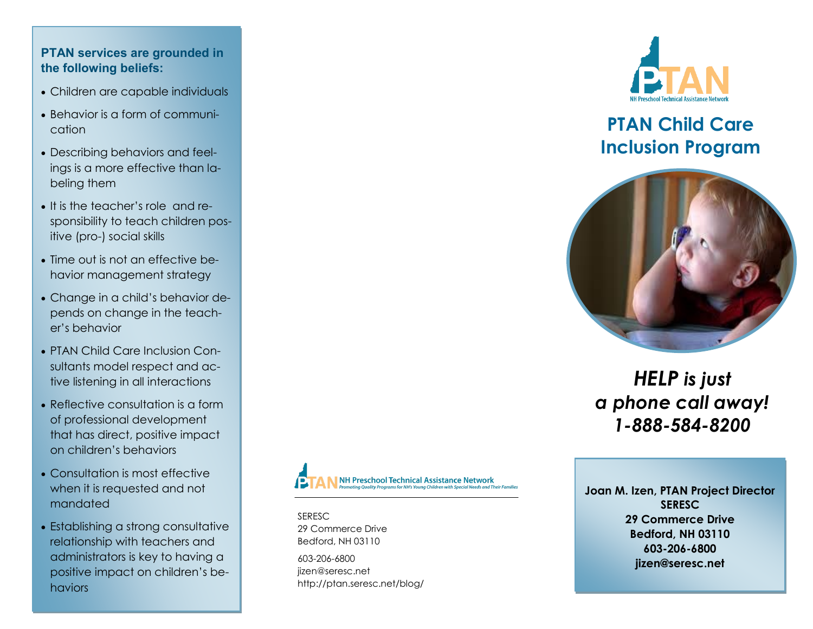## **PTAN services are grounded in the following beliefs:**

- Children are capable individuals
- Behavior is a form of communication
- Describing behaviors and feelings is a more effective than labeling them
- It is the teacher's role and responsibility to teach children positive (pro-) social skills
- Time out is not an effective behavior management strategy
- Change in a child's behavior depends on change in the teacher's behavior
- PTAN Child Care Inclusion Consultants model respect and active listening in all interactions
- Reflective consultation is a form of professional development that has direct, positive impact on children's behaviors
- Consultation is most effective when it is requested and not mandated
- Establishing a strong consultative relationship with teachers and administrators is key to having a positive impact on children's behaviors



**SERESC** 29 Commerce Drive Bedford, NH 03110

603-206-6800 jizen@seresc.net http://ptan.seresc.net/blog/



# **PTAN Child Care Inclusion Program**



*HELP is just a phone call away! 1-888-584-8200*

**Joan M. Izen, PTAN Project Director SERESC 29 Commerce Drive Bedford, NH 03110 603-206-6800 jizen@seresc.net**